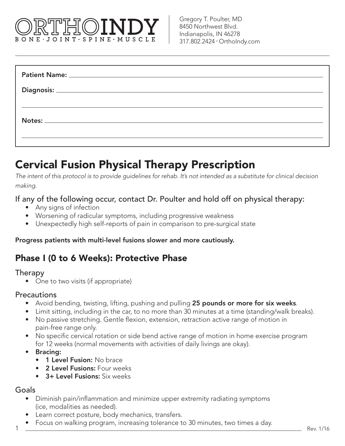# BONE JOINT SPINE MUSCLE

# Cervical Fusion Physical Therapy Prescription

*The intent of this protocol is to provide guidelines for rehab. It's not intended as a substitute for clinical decision making.*

#### If any of the following occur, contact Dr. Poulter and hold off on physical therapy:

- Any signs of infection
- Worsening of radicular symptoms, including progressive weakness
- Unexpectedly high self-reports of pain in comparison to pre-surgical state

#### Progress patients with multi-level fusions slower and more cautiously.

## Phase I (0 to 6 Weeks): Protective Phase

#### Therapy

• One to two visits (if appropriate)

#### **Precautions**

- Avoid bending, twisting, lifting, pushing and pulling 25 pounds or more for six weeks.
- Limit sitting, including in the car, to no more than 30 minutes at a time (standing/walk breaks).
- No passive stretching. Gentle flexion, extension, retraction active range of motion in pain-free range only.
- No specific cervical rotation or side bend active range of motion in home exercise program for 12 weeks (normal movements with activities of daily livings are okay).
- Bracing:
	- 1 Level Fusion: No brace
	- 2 Level Fusions: Four weeks
	- 3+ Level Fusions: Six weeks

#### Goals

1

- Diminish pain/inflammation and minimize upper extremity radiating symptoms (ice, modalities as needed).
- Learn correct posture, body mechanics, transfers.
- Focus on walking program, increasing tolerance to 30 minutes, two times a day.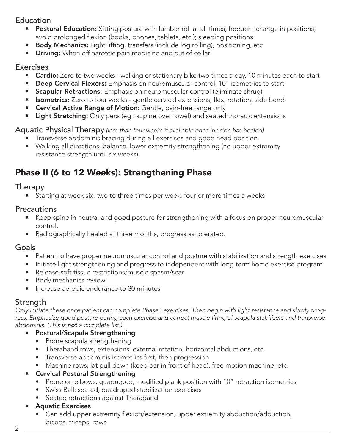#### Education

- Postural Education: Sitting posture with lumbar roll at all times; frequent change in positions; avoid prolonged flexion (books, phones, tablets, etc.); sleeping positions
- Body Mechanics: Light lifting, transfers (include log rolling), positioning, etc.
- Driving: When off narcotic pain medicine and out of collar

#### **Exercises**

- **Cardio:** Zero to two weeks walking or stationary bike two times a day, 10 minutes each to start
- Deep Cervical Flexors: Emphasis on neuromuscular control, 10" isometrics to start
- Scapular Retractions: Emphasis on neuromuscular control (eliminate shrug)
- Isometrics: Zero to four weeks gentle cervical extensions, flex, rotation, side bend
- Cervical Active Range of Motion: Gentle, pain-free range only
- Light Stretching: Only pecs (eg.: supine over towel) and seated thoracic extensions

Aquatic Physical Therapy *(less than four weeks if available once incision has healed)*

- Transverse abdominis bracing during all exercises and good head position.
- Walking all directions, balance, lower extremity strengthening (no upper extremity resistance strength until six weeks).

# Phase II (6 to 12 Weeks): Strengthening Phase

#### Therapy

• Starting at week six, two to three times per week, four or more times a weeks

#### **Precautions**

- Keep spine in neutral and good posture for strengthening with a focus on proper neuromuscular control.
- Radiographically healed at three months, progress as tolerated.

#### **Goals**

- Patient to have proper neuromuscular control and posture with stabilization and strength exercises
- Initiate light strengthening and progress to independent with long term home exercise program
- Release soft tissue restrictions/muscle spasm/scar
- Body mechanics review
- Increase aerobic endurance to 30 minutes

#### **Strength**

*Only initiate these once patient can complete Phase I exercises. Then begin with light resistance and slowly prog*ress. Emphasize good posture during each exercise and correct muscle firing of scapula stabilizers and transverse *abdominis. (This is not a complete list.)*

#### • Postural/Scapula Strengthening

- Prone scapula strengthening
- Theraband rows, extensions, external rotation, horizontal abductions, etc.
- • Transverse abdominis isometrics first, then progression
- Machine rows, lat pull down (keep bar in front of head), free motion machine, etc.
- Cervical Postural Strengthening
	- Prone on elbows, quadruped, modified plank position with 10" retraction isometrics
	- • Swiss Ball: seated, quadruped stabilization exercises
	- Seated retractions against Theraband

#### • Aquatic Exercises

• Can add upper extremity flexion/extension, upper extremity abduction/adduction, biceps, triceps, rows